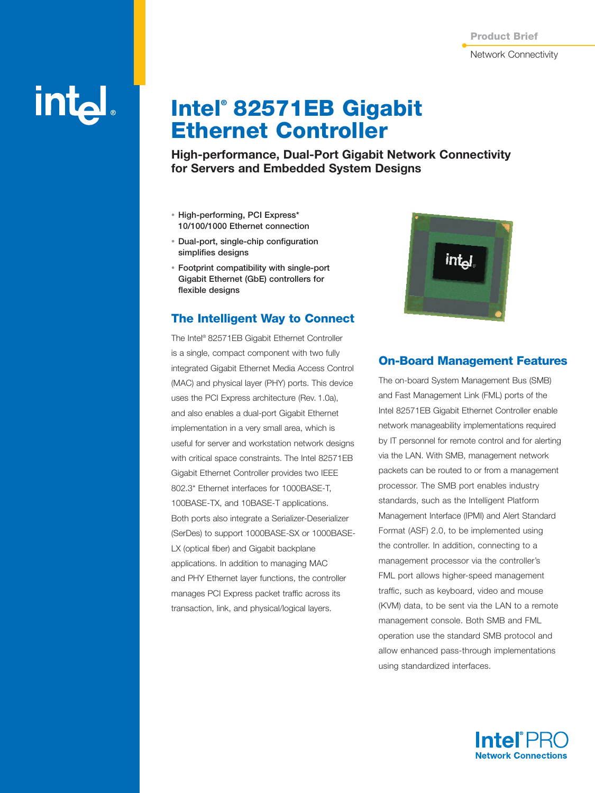# intal.

## **Intel® 82571EB Gigabit Ethernet Controller**

**High-performance, Dual-Port Gigabit Network Connectivity for Servers and Embedded System Designs**

- **High-performing, PCI Express\* 10/100/1000 Ethernet connection**
- **Dual-port, single-chip configuration simplifies designs**
- **Footprint compatibility with single-port Gigabit Ethernet (GbE) controllers for flexible designs**

#### **The Intelligent Way to Connect**

The Intel® 82571EB Gigabit Ethernet Controller is a single, compact component with two fully integrated Gigabit Ethernet Media Access Control (MAC) and physical layer (PHY) ports. This device uses the PCI Express architecture (Rev. 1.0a), and also enables a dual-port Gigabit Ethernet implementation in a very small area, which is useful for server and workstation network designs with critical space constraints. The Intel 82571EB Gigabit Ethernet Controller provides two IEEE 802.3\* Ethernet interfaces for 1000BASE-T, 100BASE-TX, and 10BASE-T applications. Both ports also integrate a Serializer-Deserializer (SerDes) to support 1000BASE-SX or 1000BASE-LX (optical fiber) and Gigabit backplane applications. In addition to managing MAC and PHY Ethernet layer functions, the controller manages PCI Express packet traffic across its transaction, link, and physical/logical layers.



#### **On-Board Management Features**

The on-board System Management Bus (SMB) and Fast Management Link (FML) ports of the Intel 82571EB Gigabit Ethernet Controller enable network manageability implementations required by IT personnel for remote control and for alerting via the LAN. With SMB, management network packets can be routed to or from a management processor. The SMB port enables industry standards, such as the Intelligent Platform Management Interface (IPMI) and Alert Standard Format (ASF) 2.0, to be implemented using the controller. In addition, connecting to a management processor via the controller's FML port allows higher-speed management traffic, such as keyboard, video and mouse (KVM) data, to be sent via the LAN to a remote management console. Both SMB and FML operation use the standard SMB protocol and allow enhanced pass-through implementations using standardized interfaces.

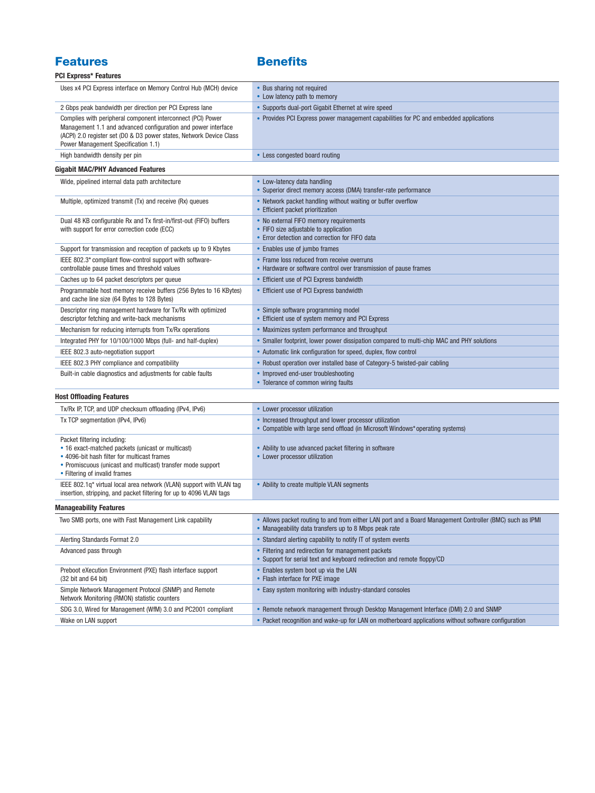### **Features Benefits**

| <b>PCI Express* Features</b> |  |
|------------------------------|--|
|------------------------------|--|

| <b>PCI Express* Features</b>                                                                                                                                                                                                               |                                                                                                                                                                   |
|--------------------------------------------------------------------------------------------------------------------------------------------------------------------------------------------------------------------------------------------|-------------------------------------------------------------------------------------------------------------------------------------------------------------------|
| Uses x4 PCI Express interface on Memory Control Hub (MCH) device                                                                                                                                                                           | • Bus sharing not required<br>• Low latency path to memory                                                                                                        |
| 2 Gbps peak bandwidth per direction per PCI Express lane                                                                                                                                                                                   | • Supports dual-port Gigabit Ethernet at wire speed                                                                                                               |
| Complies with peripheral component interconnect (PCI) Power<br>Management 1.1 and advanced configuration and power interface<br>(ACPI) 2.0 register set (D0 & D3 power states, Network Device Class<br>Power Management Specification 1.1) | • Provides PCI Express power management capabilities for PC and embedded applications                                                                             |
| High bandwidth density per pin                                                                                                                                                                                                             | • Less congested board routing                                                                                                                                    |
| <b>Gigabit MAC/PHY Advanced Features</b>                                                                                                                                                                                                   |                                                                                                                                                                   |
| Wide, pipelined internal data path architecture                                                                                                                                                                                            | • Low-latency data handling                                                                                                                                       |
|                                                                                                                                                                                                                                            | • Superior direct memory access (DMA) transfer-rate performance                                                                                                   |
| Multiple, optimized transmit (Tx) and receive (Rx) queues                                                                                                                                                                                  | • Network packet handling without waiting or buffer overflow<br>• Efficient packet prioritization                                                                 |
| Dual 48 KB configurable Rx and Tx first-in/first-out (FIFO) buffers<br>with support for error correction code (ECC)                                                                                                                        | • No external FIFO memory requirements<br>• FIFO size adjustable to application<br>• Error detection and correction for FIFO data                                 |
| Support for transmission and reception of packets up to 9 Kbytes                                                                                                                                                                           | • Enables use of jumbo frames                                                                                                                                     |
| IEEE 802.3* compliant flow-control support with software-<br>controllable pause times and threshold values                                                                                                                                 | • Frame loss reduced from receive overruns<br>• Hardware or software control over transmission of pause frames                                                    |
| Caches up to 64 packet descriptors per queue                                                                                                                                                                                               | • Efficient use of PCI Express bandwidth                                                                                                                          |
| Programmable host memory receive buffers (256 Bytes to 16 KBytes)<br>and cache line size (64 Bytes to 128 Bytes)                                                                                                                           | • Efficient use of PCI Express bandwidth                                                                                                                          |
| Descriptor ring management hardware for Tx/Rx with optimized<br>descriptor fetching and write-back mechanisms                                                                                                                              | • Simple software programming model<br>• Efficient use of system memory and PCI Express                                                                           |
| Mechanism for reducing interrupts from Tx/Rx operations                                                                                                                                                                                    | • Maximizes system performance and throughput                                                                                                                     |
| Integrated PHY for 10/100/1000 Mbps (full- and half-duplex)                                                                                                                                                                                | • Smaller footprint, lower power dissipation compared to multi-chip MAC and PHY solutions                                                                         |
| IEEE 802.3 auto-negotiation support                                                                                                                                                                                                        | • Automatic link configuration for speed, duplex, flow control                                                                                                    |
| IEEE 802.3 PHY compliance and compatibility                                                                                                                                                                                                | • Robust operation over installed base of Category-5 twisted-pair cabling                                                                                         |
| Built-in cable diagnostics and adjustments for cable faults                                                                                                                                                                                | • Improved end-user troubleshooting<br>• Tolerance of common wiring faults                                                                                        |
| <b>Host Offloading Features</b>                                                                                                                                                                                                            |                                                                                                                                                                   |
| Tx/Rx IP, TCP, and UDP checksum offloading (IPv4, IPv6)                                                                                                                                                                                    | • Lower processor utilization                                                                                                                                     |
| Tx TCP segmentation (IPv4, IPv6)                                                                                                                                                                                                           | • Increased throughput and lower processor utilization<br>• Compatible with large send offload (in Microsoft Windows* operating systems)                          |
| Packet filtering including:<br>• 16 exact-matched packets (unicast or multicast)<br>• 4096-bit hash filter for multicast frames<br>• Promiscuous (unicast and multicast) transfer mode support<br>• Filtering of invalid frames            | • Ability to use advanced packet filtering in software<br>• Lower processor utilization                                                                           |
| IEEE 802.1q* virtual local area network (VLAN) support with VLAN tag<br>insertion, stripping, and packet filtering for up to 4096 VLAN tags                                                                                                | • Ability to create multiple VLAN segments                                                                                                                        |
| <b>Manageability Features</b>                                                                                                                                                                                                              |                                                                                                                                                                   |
| Two SMB ports, one with Fast Management Link capability                                                                                                                                                                                    | • Allows packet routing to and from either LAN port and a Board Management Controller (BMC) such as IPMI<br>• Manageability data transfers up to 8 Mbps peak rate |
| Alerting Standards Format 2.0                                                                                                                                                                                                              | • Standard alerting capability to notify IT of system events                                                                                                      |
| Advanced pass through                                                                                                                                                                                                                      | • Filtering and redirection for management packets<br>• Support for serial text and keyboard redirection and remote floppy/CD                                     |
| Preboot eXecution Environment (PXE) flash interface support<br>$(32 \text{ bit and } 64 \text{ bit})$                                                                                                                                      | • Enables system boot up via the LAN<br>• Flash interface for PXE image                                                                                           |
| Simple Network Management Protocol (SNMP) and Remote<br>Network Monitoring (RMON) statistic counters                                                                                                                                       | • Easy system monitoring with industry-standard consoles                                                                                                          |
| SDG 3.0, Wired for Management (WfM) 3.0 and PC2001 compliant                                                                                                                                                                               | • Remote network management through Desktop Management Interface (DMI) 2.0 and SNMP                                                                               |
| Wake on LAN support                                                                                                                                                                                                                        | • Packet recognition and wake-up for LAN on motherboard applications without software configuration                                                               |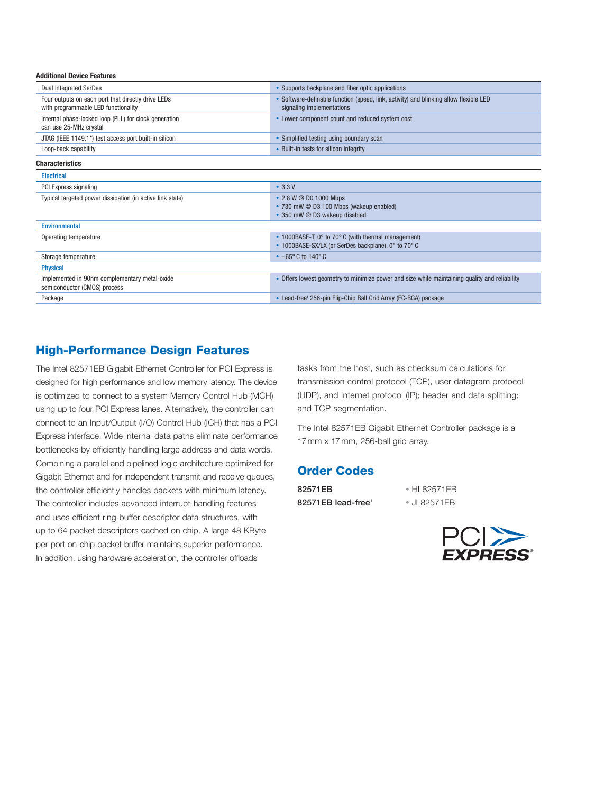| <b>Additional Device Features</b>                                                                                  |  |  |
|--------------------------------------------------------------------------------------------------------------------|--|--|
| • Supports backplane and fiber optic applications                                                                  |  |  |
| • Software-definable function (speed, link, activity) and blinking allow flexible LED<br>signaling implementations |  |  |
| • Lower component count and reduced system cost                                                                    |  |  |
| • Simplified testing using boundary scan                                                                           |  |  |
| • Built-in tests for silicon integrity                                                                             |  |  |
|                                                                                                                    |  |  |
|                                                                                                                    |  |  |
| $\cdot$ 3.3 V                                                                                                      |  |  |
| • 2.8 W @ D0 1000 Mbps<br>• 730 mW @ D3 100 Mbps (wakeup enabled)<br>• 350 mW @ D3 wakeup disabled                 |  |  |
|                                                                                                                    |  |  |
| • 1000BASE-T, 0° to 70° C (with thermal management)<br>• 1000BASE-SX/LX (or SerDes backplane), 0° to 70° C         |  |  |
| $-65^{\circ}$ C to 140° C                                                                                          |  |  |
|                                                                                                                    |  |  |
| • Offers lowest geometry to minimize power and size while maintaining quality and reliability                      |  |  |
| • Lead-free <sup>1</sup> 256-pin Flip-Chip Ball Grid Array (FC-BGA) package                                        |  |  |
|                                                                                                                    |  |  |

#### **High-Performance Design Features**

The Intel 82571EB Gigabit Ethernet Controller for PCI Express is designed for high performance and low memory latency. The device is optimized to connect to a system Memory Control Hub (MCH) using up to four PCI Express lanes. Alternatively, the controller can connect to an Input/Output (I/O) Control Hub (ICH) that has a PCI Express interface. Wide internal data paths eliminate performance bottlenecks by efficiently handling large address and data words. Combining a parallel and pipelined logic architecture optimized for Gigabit Ethernet and for independent transmit and receive queues, the controller efficiently handles packets with minimum latency. The controller includes advanced interrupt-handling features and uses efficient ring-buffer descriptor data structures, with up to 64 packet descriptors cached on chip. A large 48 KByte per port on-chip packet buffer maintains superior performance. In addition, using hardware acceleration, the controller offloads

tasks from the host, such as checksum calculations for transmission control protocol (TCP), user datagram protocol (UDP), and Internet protocol (IP); header and data splitting; and TCP segmentation.

The Intel 82571EB Gigabit Ethernet Controller package is a 17mm x 17mm, 256-ball grid array.

#### **Order Codes**

**82571EB** • HL82571EB **82571EB lead-free1** • JL82571EB